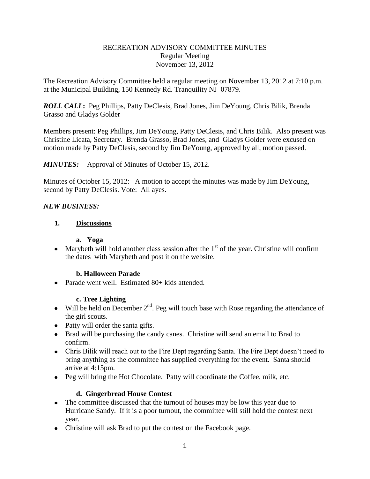#### RECREATION ADVISORY COMMITTEE MINUTES Regular Meeting November 13, 2012

The Recreation Advisory Committee held a regular meeting on November 13, 2012 at 7:10 p.m. at the Municipal Building, 150 Kennedy Rd. Tranquility NJ 07879.

*ROLL CALL***:** Peg Phillips, Patty DeClesis, Brad Jones, Jim DeYoung, Chris Bilik, Brenda Grasso and Gladys Golder

Members present: Peg Phillips, Jim DeYoung, Patty DeClesis, and Chris Bilik. Also present was Christine Licata, Secretary. Brenda Grasso, Brad Jones, and Gladys Golder were excused on motion made by Patty DeClesis, second by Jim DeYoung, approved by all, motion passed.

## *MINUTES:* Approval of Minutes of October 15, 2012.

Minutes of October 15, 2012: A motion to accept the minutes was made by Jim DeYoung, second by Patty DeClesis. Vote: All ayes.

#### *NEW BUSINESS:*

## **1. Discussions**

#### **a. Yoga**

• Marybeth will hold another class session after the  $1<sup>st</sup>$  of the year. Christine will confirm the dates with Marybeth and post it on the website.

#### **b. Halloween Parade**

• Parade went well. Estimated 80+ kids attended.

#### **c. Tree Lighting**

- Will be held on December  $2^{nd}$ . Peg will touch base with Rose regarding the attendance of the girl scouts.
- Patty will order the santa gifts.
- Brad will be purchasing the candy canes. Christine will send an email to Brad to confirm.
- Chris Bilik will reach out to the Fire Dept regarding Santa. The Fire Dept doesn't need to bring anything as the committee has supplied everything for the event. Santa should arrive at 4:15pm.
- Peg will bring the Hot Chocolate. Patty will coordinate the Coffee, milk, etc.

# **d. Gingerbread House Contest**

- The committee discussed that the turnout of houses may be low this year due to Hurricane Sandy. If it is a poor turnout, the committee will still hold the contest next year.
- Christine will ask Brad to put the contest on the Facebook page.